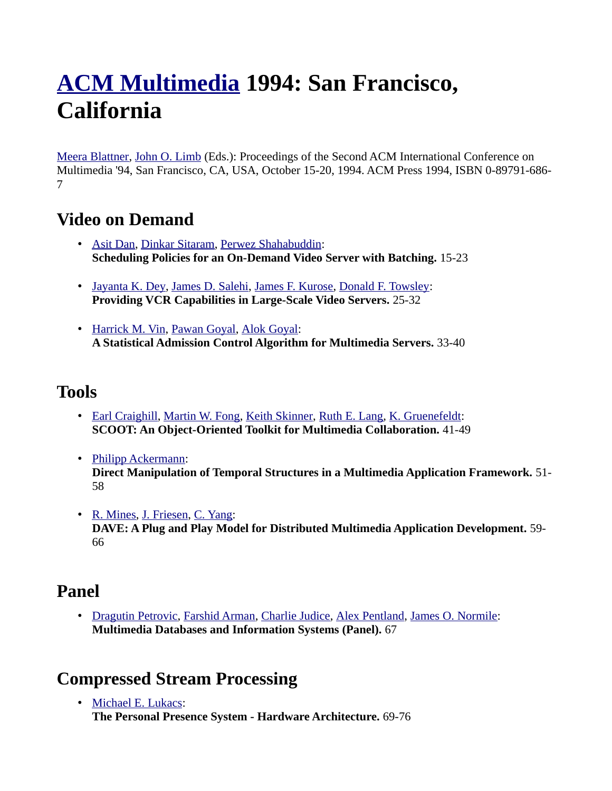# **[ACM Multimedia](http://www.informatik.uni-trier.de/~ley/db/conf/mm/index.html) 1994: San Francisco, California**

[Meera Blattner,](http://www.informatik.uni-trier.de/~ley/db/indices/a-tree/b/Blattner:Meera.html) [John O. Limb](http://www.informatik.uni-trier.de/~ley/db/indices/a-tree/l/Limb:John_O=.html) (Eds.): Proceedings of the Second ACM International Conference on Multimedia '94, San Francisco, CA, USA, October 15-20, 1994. ACM Press 1994, ISBN 0-89791-686- 7

#### **Video on Demand**

- • [Asit Dan,](http://www.informatik.uni-trier.de/~ley/db/indices/a-tree/d/Dan:Asit.html) [Dinkar Sitaram,](http://www.informatik.uni-trier.de/~ley/db/indices/a-tree/s/Sitaram:Dinkar.html) [Perwez Shahabuddin:](http://www.informatik.uni-trier.de/~ley/db/indices/a-tree/s/Shahabuddin:Perwez.html) **Scheduling Policies for an On-Demand Video Server with Batching.** 15-23
- • [Jayanta K. Dey,](http://www.informatik.uni-trier.de/~ley/db/indices/a-tree/d/Dey:Jayanta_K=.html) [James D. Salehi,](http://www.informatik.uni-trier.de/~ley/db/indices/a-tree/s/Salehi:James_D=.html) [James F. Kurose,](http://www.informatik.uni-trier.de/~ley/db/indices/a-tree/k/Kurose:James_F=.html) [Donald F. Towsley:](http://www.informatik.uni-trier.de/~ley/db/indices/a-tree/t/Towsley:Donald_F=.html) **Providing VCR Capabilities in Large-Scale Video Servers.** 25-32
- • [Harrick M. Vin,](http://www.informatik.uni-trier.de/~ley/db/indices/a-tree/v/Vin:Harrick_M=.html) [Pawan Goyal,](http://www.informatik.uni-trier.de/~ley/db/indices/a-tree/g/Goyal:Pawan.html) [Alok Goyal:](http://www.informatik.uni-trier.de/~ley/db/indices/a-tree/g/Goyal:Alok.html) **A Statistical Admission Control Algorithm for Multimedia Servers.** 33-40

#### **Tools**

- • [Earl Craighill,](http://www.informatik.uni-trier.de/~ley/db/indices/a-tree/c/Craighill:Earl.html) [Martin W. Fong,](http://www.informatik.uni-trier.de/~ley/db/indices/a-tree/f/Fong:Martin_W=.html) [Keith Skinner,](http://www.informatik.uni-trier.de/~ley/db/indices/a-tree/s/Skinner:Keith.html) [Ruth E. Lang,](http://www.informatik.uni-trier.de/~ley/db/indices/a-tree/l/Lang:Ruth_E=.html) [K. Gruenefeldt:](http://www.informatik.uni-trier.de/~ley/db/indices/a-tree/g/Gruenefeldt:K=.html) **SCOOT: An Object-Oriented Toolkit for Multimedia Collaboration.** 41-49
- • [Philipp Ackermann:](http://www.informatik.uni-trier.de/~ley/db/indices/a-tree/a/Ackermann:Philipp.html) **Direct Manipulation of Temporal Structures in a Multimedia Application Framework.** 51- 58
- • [R. Mines,](http://www.informatik.uni-trier.de/~ley/db/indices/a-tree/m/Mines:R=.html) [J. Friesen,](http://www.informatik.uni-trier.de/~ley/db/indices/a-tree/f/Friesen:J=.html) [C. Yang:](http://www.informatik.uni-trier.de/~ley/db/indices/a-tree/y/Yang:C=.html) **DAVE: A Plug and Play Model for Distributed Multimedia Application Development.** 59- 66

### **Panel**

• [Dragutin Petrovic,](http://www.informatik.uni-trier.de/~ley/db/indices/a-tree/p/Petrovic:Dragutin.html) [Farshid Arman,](http://www.informatik.uni-trier.de/~ley/db/indices/a-tree/a/Arman:Farshid.html) [Charlie Judice,](http://www.informatik.uni-trier.de/~ley/db/indices/a-tree/j/Judice:Charlie.html) [Alex Pentland,](http://www.informatik.uni-trier.de/~ley/db/indices/a-tree/p/Pentland:Alex.html) [James O. Normile:](http://www.informatik.uni-trier.de/~ley/db/indices/a-tree/n/Normile:James_O=.html) **Multimedia Databases and Information Systems (Panel).** 67

# **Compressed Stream Processing**

• [Michael E. Lukacs:](http://www.informatik.uni-trier.de/~ley/db/indices/a-tree/l/Lukacs:Michael_E=.html) **The Personal Presence System - Hardware Architecture.** 69-76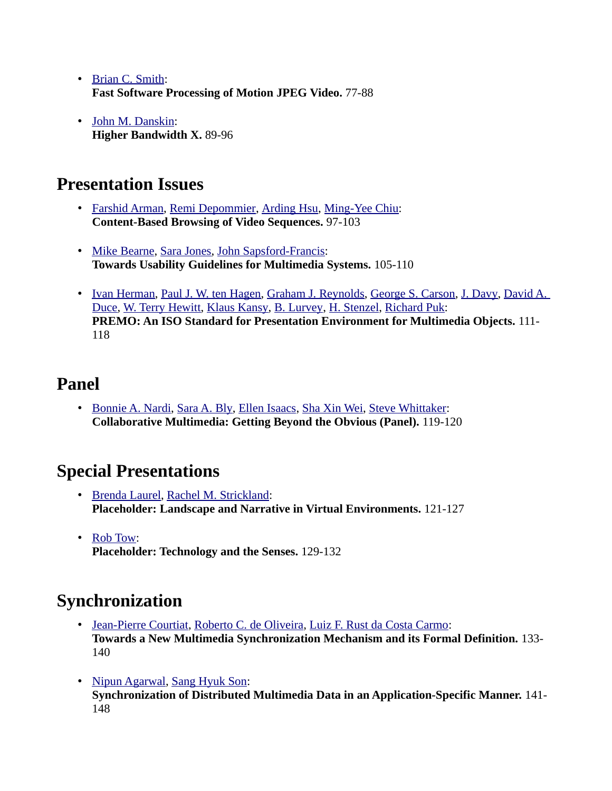- • [Brian C. Smith:](http://www.informatik.uni-trier.de/~ley/db/indices/a-tree/s/Smith:Brian_C=.html) **Fast Software Processing of Motion JPEG Video.** 77-88
- • [John M. Danskin:](http://www.informatik.uni-trier.de/~ley/db/indices/a-tree/d/Danskin:John_M=.html) **Higher Bandwidth X.** 89-96

#### **Presentation Issues**

- • [Farshid Arman,](http://www.informatik.uni-trier.de/~ley/db/indices/a-tree/a/Arman:Farshid.html) [Remi Depommier,](http://www.informatik.uni-trier.de/~ley/db/indices/a-tree/d/Depommier:Remi.html) [Arding Hsu,](http://www.informatik.uni-trier.de/~ley/db/indices/a-tree/h/Hsu:Arding.html) [Ming-Yee Chiu:](http://www.informatik.uni-trier.de/~ley/db/indices/a-tree/c/Chiu:Ming=Yee.html) **Content-Based Browsing of Video Sequences.** 97-103
- • [Mike Bearne,](http://www.informatik.uni-trier.de/~ley/db/indices/a-tree/b/Bearne:Mike.html) [Sara Jones,](http://www.informatik.uni-trier.de/~ley/db/indices/a-tree/j/Jones:Sara.html) [John Sapsford-Francis:](http://www.informatik.uni-trier.de/~ley/db/indices/a-tree/s/Sapsford=Francis:John.html) **Towards Usability Guidelines for Multimedia Systems.** 105-110
- • [Ivan Herman,](http://www.informatik.uni-trier.de/~ley/db/indices/a-tree/h/Herman:Ivan.html) [Paul J. W. ten Hagen,](http://www.informatik.uni-trier.de/~ley/db/indices/a-tree/h/Hagen:Paul_J=_W=_ten.html) [Graham J. Reynolds,](http://www.informatik.uni-trier.de/~ley/db/indices/a-tree/r/Reynolds:Graham_J=.html) [George S. Carson,](http://www.informatik.uni-trier.de/~ley/db/indices/a-tree/c/Carson:George_S=.html) [J. Davy,](http://www.informatik.uni-trier.de/~ley/db/indices/a-tree/d/Davy:J=.html) David A. [Duce,](http://www.informatik.uni-trier.de/~ley/db/indices/a-tree/d/Duce:David_A=.html) [W. Terry Hewitt,](http://www.informatik.uni-trier.de/~ley/db/indices/a-tree/h/Hewitt:W=_Terry.html) [Klaus Kansy,](http://www.informatik.uni-trier.de/~ley/db/indices/a-tree/k/Kansy:Klaus.html) [B. Lurvey,](http://www.informatik.uni-trier.de/~ley/db/indices/a-tree/l/Lurvey:B=.html) [H. Stenzel,](http://www.informatik.uni-trier.de/~ley/db/indices/a-tree/s/Stenzel:H=.html) [Richard Puk:](http://www.informatik.uni-trier.de/~ley/db/indices/a-tree/p/Puk:Richard.html) **PREMO: An ISO Standard for Presentation Environment for Multimedia Objects.** 111- 118

#### **Panel**

• [Bonnie A. Nardi,](http://www.informatik.uni-trier.de/~ley/db/indices/a-tree/n/Nardi:Bonnie_A=.html) [Sara A. Bly,](http://www.informatik.uni-trier.de/~ley/db/indices/a-tree/b/Bly:Sara_A=.html) [Ellen Isaacs,](http://www.informatik.uni-trier.de/~ley/db/indices/a-tree/i/Isaacs:Ellen.html) [Sha Xin Wei,](http://www.informatik.uni-trier.de/~ley/db/indices/a-tree/w/Wei:Sha_Xin.html) [Steve Whittaker:](http://www.informatik.uni-trier.de/~ley/db/indices/a-tree/w/Whittaker:Steve.html) **Collaborative Multimedia: Getting Beyond the Obvious (Panel).** 119-120

# **Special Presentations**

- • [Brenda Laurel,](http://www.informatik.uni-trier.de/~ley/db/indices/a-tree/l/Laurel:Brenda.html) [Rachel M. Strickland:](http://www.informatik.uni-trier.de/~ley/db/indices/a-tree/s/Strickland:Rachel_M=.html) **Placeholder: Landscape and Narrative in Virtual Environments.** 121-127
- • [Rob Tow:](http://www.informatik.uni-trier.de/~ley/db/indices/a-tree/t/Tow:Rob.html) **Placeholder: Technology and the Senses.** 129-132

# **Synchronization**

- • [Jean-Pierre Courtiat,](http://www.informatik.uni-trier.de/~ley/db/indices/a-tree/c/Courtiat:Jean=Pierre.html) [Roberto C. de Oliveira,](http://www.informatik.uni-trier.de/~ley/db/indices/a-tree/o/Oliveira:Roberto_C=_de.html) [Luiz F. Rust da Costa Carmo:](http://www.informatik.uni-trier.de/~ley/db/indices/a-tree/c/Carmo:Luiz_F=_Rust_da_Costa.html) **Towards a New Multimedia Synchronization Mechanism and its Formal Definition.** 133- 140
- • [Nipun Agarwal,](http://www.informatik.uni-trier.de/~ley/db/indices/a-tree/a/Agarwal:Nipun.html) [Sang Hyuk Son:](http://www.informatik.uni-trier.de/~ley/db/indices/a-tree/s/Son:Sang_Hyuk.html) **Synchronization of Distributed Multimedia Data in an Application-Specific Manner.** 141- 148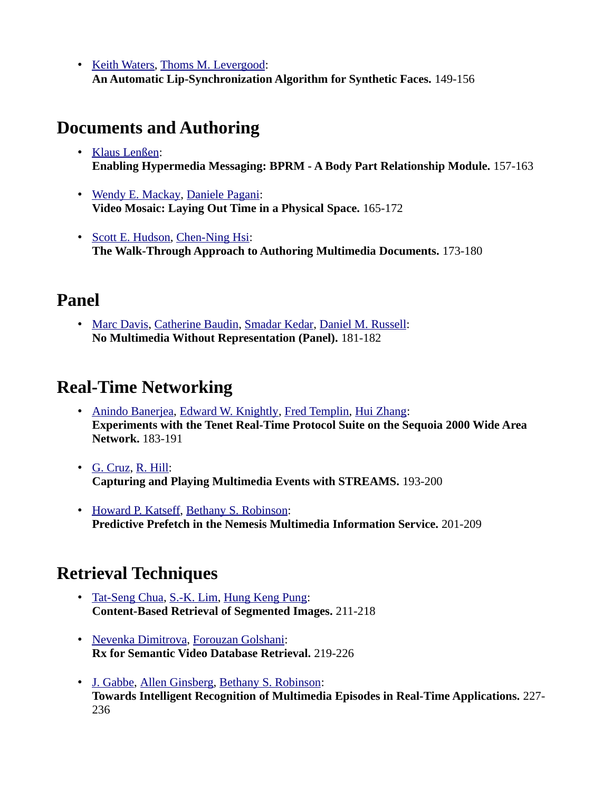• [Keith Waters,](http://www.informatik.uni-trier.de/~ley/db/indices/a-tree/w/Waters:Keith.html) [Thoms M. Levergood:](http://www.informatik.uni-trier.de/~ley/db/indices/a-tree/l/Levergood:Thoms_M=.html) **An Automatic Lip-Synchronization Algorithm for Synthetic Faces.** 149-156

#### **Documents and Authoring**

- • [Klaus Lenßen:](http://www.informatik.uni-trier.de/~ley/db/indices/a-tree/l/Len=szlig=en:Klaus.html) **Enabling Hypermedia Messaging: BPRM - A Body Part Relationship Module.** 157-163
- • [Wendy E. Mackay,](http://www.informatik.uni-trier.de/~ley/db/indices/a-tree/m/Mackay:Wendy_E=.html) [Daniele Pagani:](http://www.informatik.uni-trier.de/~ley/db/indices/a-tree/p/Pagani:Daniele.html) **Video Mosaic: Laying Out Time in a Physical Space.** 165-172
- • [Scott E. Hudson,](http://www.informatik.uni-trier.de/~ley/db/indices/a-tree/h/Hudson:Scott_E=.html) [Chen-Ning Hsi:](http://www.informatik.uni-trier.de/~ley/db/indices/a-tree/h/Hsi:Chen=Ning.html) **The Walk-Through Approach to Authoring Multimedia Documents.** 173-180

#### **Panel**

• [Marc Davis,](http://www.informatik.uni-trier.de/~ley/db/indices/a-tree/d/Davis:Marc.html) [Catherine Baudin,](http://www.informatik.uni-trier.de/~ley/db/indices/a-tree/b/Baudin:Catherine.html) [Smadar Kedar,](http://www.informatik.uni-trier.de/~ley/db/indices/a-tree/k/Kedar:Smadar.html) [Daniel M. Russell:](http://www.informatik.uni-trier.de/~ley/db/indices/a-tree/r/Russell:Daniel_M=.html) **No Multimedia Without Representation (Panel).** 181-182

### **Real-Time Networking**

- • [Anindo Banerjea,](http://www.informatik.uni-trier.de/~ley/db/indices/a-tree/b/Banerjea:Anindo.html) [Edward W. Knightly,](http://www.informatik.uni-trier.de/~ley/db/indices/a-tree/k/Knightly:Edward_W=.html) [Fred Templin,](http://www.informatik.uni-trier.de/~ley/db/indices/a-tree/t/Templin:Fred.html) [Hui Zhang:](http://www.informatik.uni-trier.de/~ley/db/indices/a-tree/z/Zhang:Hui.html) **Experiments with the Tenet Real-Time Protocol Suite on the Sequoia 2000 Wide Area Network.** 183-191
- • [G. Cruz,](http://www.informatik.uni-trier.de/~ley/db/indices/a-tree/c/Cruz:G=.html) [R. Hill:](http://www.informatik.uni-trier.de/~ley/db/indices/a-tree/h/Hill:R=.html) **Capturing and Playing Multimedia Events with STREAMS.** 193-200
- • [Howard P. Katseff,](http://www.informatik.uni-trier.de/~ley/db/indices/a-tree/k/Katseff:Howard_P=.html) [Bethany S. Robinson:](http://www.informatik.uni-trier.de/~ley/db/indices/a-tree/r/Robinson:Bethany_S=.html) **Predictive Prefetch in the Nemesis Multimedia Information Service.** 201-209

# **Retrieval Techniques**

- • [Tat-Seng Chua,](http://www.informatik.uni-trier.de/~ley/db/indices/a-tree/c/Chua:Tat=Seng.html) [S.-K. Lim,](http://www.informatik.uni-trier.de/~ley/db/indices/a-tree/l/Lim:S==K=.html) [Hung Keng Pung:](http://www.informatik.uni-trier.de/~ley/db/indices/a-tree/p/Pung:Hung_Keng.html) **Content-Based Retrieval of Segmented Images.** 211-218
- • [Nevenka Dimitrova,](http://www.informatik.uni-trier.de/~ley/db/indices/a-tree/d/Dimitrova:Nevenka.html) [Forouzan Golshani:](http://www.informatik.uni-trier.de/~ley/db/indices/a-tree/g/Golshani:Forouzan.html) **Rx for Semantic Video Database Retrieval.** 219-226
- • [J. Gabbe,](http://www.informatik.uni-trier.de/~ley/db/indices/a-tree/g/Gabbe:J=.html) [Allen Ginsberg,](http://www.informatik.uni-trier.de/~ley/db/indices/a-tree/g/Ginsberg:Allen.html) [Bethany S. Robinson:](http://www.informatik.uni-trier.de/~ley/db/indices/a-tree/r/Robinson:Bethany_S=.html) **Towards Intelligent Recognition of Multimedia Episodes in Real-Time Applications.** 227- 236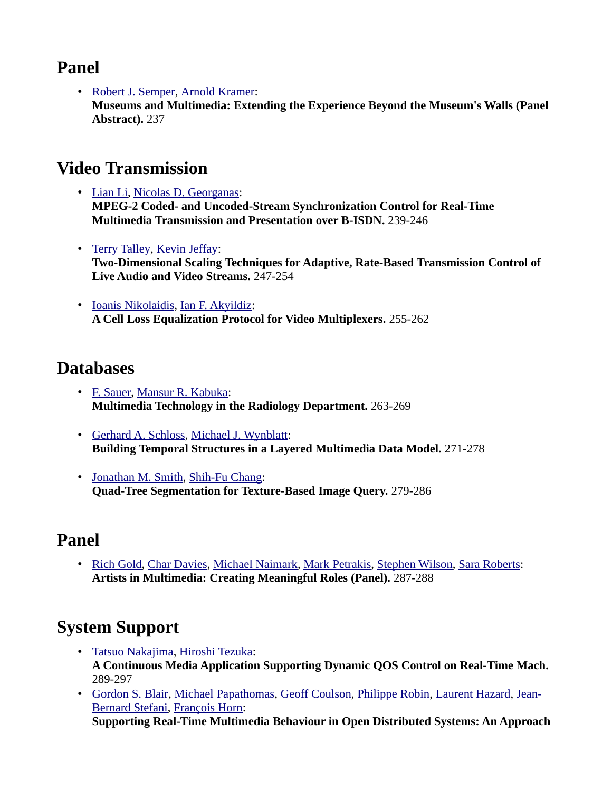#### **Panel**

• [Robert J. Semper,](http://www.informatik.uni-trier.de/~ley/db/indices/a-tree/s/Semper:Robert_J=.html) [Arnold Kramer:](http://www.informatik.uni-trier.de/~ley/db/indices/a-tree/k/Kramer:Arnold.html) **Museums and Multimedia: Extending the Experience Beyond the Museum's Walls (Panel Abstract).** 237

#### **Video Transmission**

- • [Lian Li,](http://www.informatik.uni-trier.de/~ley/db/indices/a-tree/l/Li:Lian.html) [Nicolas D. Georganas:](http://www.informatik.uni-trier.de/~ley/db/indices/a-tree/g/Georganas:Nicolas_D=.html) **MPEG-2 Coded- and Uncoded-Stream Synchronization Control for Real-Time Multimedia Transmission and Presentation over B-ISDN.** 239-246
- • [Terry Talley,](http://www.informatik.uni-trier.de/~ley/db/indices/a-tree/t/Talley:Terry.html) [Kevin Jeffay:](http://www.informatik.uni-trier.de/~ley/db/indices/a-tree/j/Jeffay:Kevin.html) **Two-Dimensional Scaling Techniques for Adaptive, Rate-Based Transmission Control of Live Audio and Video Streams.** 247-254
- • [Ioanis Nikolaidis,](http://www.informatik.uni-trier.de/~ley/db/indices/a-tree/n/Nikolaidis:Ioanis.html) [Ian F. Akyildiz:](http://www.informatik.uni-trier.de/~ley/db/indices/a-tree/a/Akyildiz:Ian_F=.html) **A Cell Loss Equalization Protocol for Video Multiplexers.** 255-262

#### **Databases**

- • [F. Sauer,](http://www.informatik.uni-trier.de/~ley/db/indices/a-tree/s/Sauer:F=.html) [Mansur R. Kabuka:](http://www.informatik.uni-trier.de/~ley/db/indices/a-tree/k/Kabuka:Mansur_R=.html) **Multimedia Technology in the Radiology Department.** 263-269
- • [Gerhard A. Schloss,](http://www.informatik.uni-trier.de/~ley/db/indices/a-tree/s/Schloss:Gerhard_A=.html) [Michael J. Wynblatt:](http://www.informatik.uni-trier.de/~ley/db/indices/a-tree/w/Wynblatt:Michael_J=.html) **Building Temporal Structures in a Layered Multimedia Data Model.** 271-278
- • [Jonathan M. Smith,](http://www.informatik.uni-trier.de/~ley/db/indices/a-tree/s/Smith:Jonathan_M=.html) [Shih-Fu Chang:](http://www.informatik.uni-trier.de/~ley/db/indices/a-tree/c/Chang:Shih=Fu.html) **Quad-Tree Segmentation for Texture-Based Image Query.** 279-286

# **Panel**

• [Rich Gold,](http://www.informatik.uni-trier.de/~ley/db/indices/a-tree/g/Gold:Rich.html) [Char Davies,](http://www.informatik.uni-trier.de/~ley/db/indices/a-tree/d/Davies:Char.html) [Michael Naimark,](http://www.informatik.uni-trier.de/~ley/db/indices/a-tree/n/Naimark:Michael.html) [Mark Petrakis,](http://www.informatik.uni-trier.de/~ley/db/indices/a-tree/p/Petrakis:Mark.html) [Stephen Wilson,](http://www.informatik.uni-trier.de/~ley/db/indices/a-tree/w/Wilson:Stephen.html) [Sara Roberts:](http://www.informatik.uni-trier.de/~ley/db/indices/a-tree/r/Roberts:Sara.html) **Artists in Multimedia: Creating Meaningful Roles (Panel).** 287-288

# **System Support**

- • [Tatsuo Nakajima,](http://www.informatik.uni-trier.de/~ley/db/indices/a-tree/n/Nakajima:Tatsuo.html) [Hiroshi Tezuka:](http://www.informatik.uni-trier.de/~ley/db/indices/a-tree/t/Tezuka:Hiroshi.html) **A Continuous Media Application Supporting Dynamic QOS Control on Real-Time Mach.**  289-297
- • [Gordon S. Blair,](http://www.informatik.uni-trier.de/~ley/db/indices/a-tree/b/Blair:Gordon_S=.html) [Michael Papathomas,](http://www.informatik.uni-trier.de/~ley/db/indices/a-tree/p/Papathomas:Michael.html) [Geoff Coulson,](http://www.informatik.uni-trier.de/~ley/db/indices/a-tree/c/Coulson:Geoff.html) [Philippe Robin,](http://www.informatik.uni-trier.de/~ley/db/indices/a-tree/r/Robin:Philippe.html) [Laurent Hazard,](http://www.informatik.uni-trier.de/~ley/db/indices/a-tree/h/Hazard:Laurent.html) [Jean-](http://www.informatik.uni-trier.de/~ley/db/indices/a-tree/s/Stefani:Jean=Bernard.html)[Bernard Stefani,](http://www.informatik.uni-trier.de/~ley/db/indices/a-tree/s/Stefani:Jean=Bernard.html) [François Horn:](http://www.informatik.uni-trier.de/~ley/db/indices/a-tree/h/Horn:Fran=ccedil=ois.html) **Supporting Real-Time Multimedia Behaviour in Open Distributed Systems: An Approach**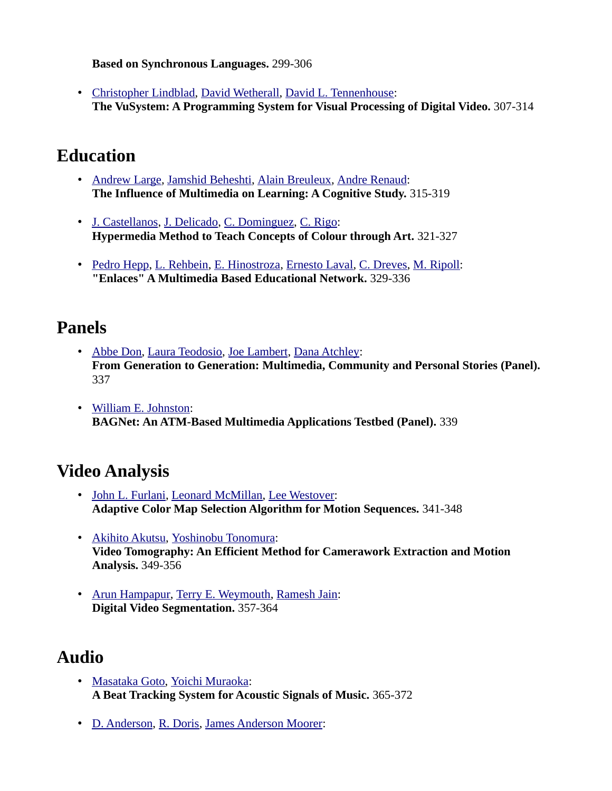**Based on Synchronous Languages.** 299-306

• [Christopher Lindblad,](http://www.informatik.uni-trier.de/~ley/db/indices/a-tree/l/Lindblad:Christopher.html) [David Wetherall,](http://www.informatik.uni-trier.de/~ley/db/indices/a-tree/w/Wetherall:David.html) [David L. Tennenhouse:](http://www.informatik.uni-trier.de/~ley/db/indices/a-tree/t/Tennenhouse:David_L=.html) **The VuSystem: A Programming System for Visual Processing of Digital Video.** 307-314

#### **Education**

- • [Andrew Large,](http://www.informatik.uni-trier.de/~ley/db/indices/a-tree/l/Large:Andrew.html) [Jamshid Beheshti,](http://www.informatik.uni-trier.de/~ley/db/indices/a-tree/b/Beheshti:Jamshid.html) [Alain Breuleux,](http://www.informatik.uni-trier.de/~ley/db/indices/a-tree/b/Breuleux:Alain.html) [Andre Renaud:](http://www.informatik.uni-trier.de/~ley/db/indices/a-tree/r/Renaud:Andre.html) **The Influence of Multimedia on Learning: A Cognitive Study.** 315-319
- • [J. Castellanos,](http://www.informatik.uni-trier.de/~ley/db/indices/a-tree/c/Castellanos:J=.html) [J. Delicado,](http://www.informatik.uni-trier.de/~ley/db/indices/a-tree/d/Delicado:J=.html) [C. Dominguez,](http://www.informatik.uni-trier.de/~ley/db/indices/a-tree/d/Dominguez:C=.html) [C. Rigo:](http://www.informatik.uni-trier.de/~ley/db/indices/a-tree/r/Rigo:C=.html) **Hypermedia Method to Teach Concepts of Colour through Art.** 321-327
- • [Pedro Hepp,](http://www.informatik.uni-trier.de/~ley/db/indices/a-tree/h/Hepp:Pedro.html) [L. Rehbein,](http://www.informatik.uni-trier.de/~ley/db/indices/a-tree/r/Rehbein:L=.html) [E. Hinostroza,](http://www.informatik.uni-trier.de/~ley/db/indices/a-tree/h/Hinostroza:E=.html) [Ernesto Laval,](http://www.informatik.uni-trier.de/~ley/db/indices/a-tree/l/Laval:Ernesto.html) [C. Dreves,](http://www.informatik.uni-trier.de/~ley/db/indices/a-tree/d/Dreves:C=.html) [M. Ripoll:](http://www.informatik.uni-trier.de/~ley/db/indices/a-tree/r/Ripoll:M=.html) **"Enlaces" A Multimedia Based Educational Network.** 329-336

#### **Panels**

- • [Abbe Don,](http://www.informatik.uni-trier.de/~ley/db/indices/a-tree/d/Don:Abbe.html) [Laura Teodosio,](http://www.informatik.uni-trier.de/~ley/db/indices/a-tree/t/Teodosio:Laura.html) [Joe Lambert,](http://www.informatik.uni-trier.de/~ley/db/indices/a-tree/l/Lambert:Joe.html) [Dana Atchley:](http://www.informatik.uni-trier.de/~ley/db/indices/a-tree/a/Atchley:Dana.html) **From Generation to Generation: Multimedia, Community and Personal Stories (Panel).**  337
- • [William E. Johnston:](http://www.informatik.uni-trier.de/~ley/db/indices/a-tree/j/Johnston:William_E=.html) **BAGNet: An ATM-Based Multimedia Applications Testbed (Panel).** 339

### **Video Analysis**

- • [John L. Furlani,](http://www.informatik.uni-trier.de/~ley/db/indices/a-tree/f/Furlani:John_L=.html) [Leonard McMillan,](http://www.informatik.uni-trier.de/~ley/db/indices/a-tree/m/McMillan:Leonard.html) [Lee Westover:](http://www.informatik.uni-trier.de/~ley/db/indices/a-tree/w/Westover:Lee.html) **Adaptive Color Map Selection Algorithm for Motion Sequences.** 341-348
- • [Akihito Akutsu,](http://www.informatik.uni-trier.de/~ley/db/indices/a-tree/a/Akutsu:Akihito.html) [Yoshinobu Tonomura:](http://www.informatik.uni-trier.de/~ley/db/indices/a-tree/t/Tonomura:Yoshinobu.html) **Video Tomography: An Efficient Method for Camerawork Extraction and Motion Analysis.** 349-356
- • [Arun Hampapur,](http://www.informatik.uni-trier.de/~ley/db/indices/a-tree/h/Hampapur:Arun.html) [Terry E. Weymouth,](http://www.informatik.uni-trier.de/~ley/db/indices/a-tree/w/Weymouth:Terry_E=.html) [Ramesh Jain:](http://www.informatik.uni-trier.de/~ley/db/indices/a-tree/j/Jain:Ramesh.html) **Digital Video Segmentation.** 357-364

### **Audio**

- • [Masataka Goto,](http://www.informatik.uni-trier.de/~ley/db/indices/a-tree/g/Goto:Masataka.html) [Yoichi Muraoka:](http://www.informatik.uni-trier.de/~ley/db/indices/a-tree/m/Muraoka:Yoichi.html) **A Beat Tracking System for Acoustic Signals of Music.** 365-372
- • [D. Anderson,](http://www.informatik.uni-trier.de/~ley/db/indices/a-tree/a/Anderson:D=.html) [R. Doris,](http://www.informatik.uni-trier.de/~ley/db/indices/a-tree/d/Doris:R=.html) [James Anderson Moorer:](http://www.informatik.uni-trier.de/~ley/db/indices/a-tree/m/Moorer:James_Anderson.html)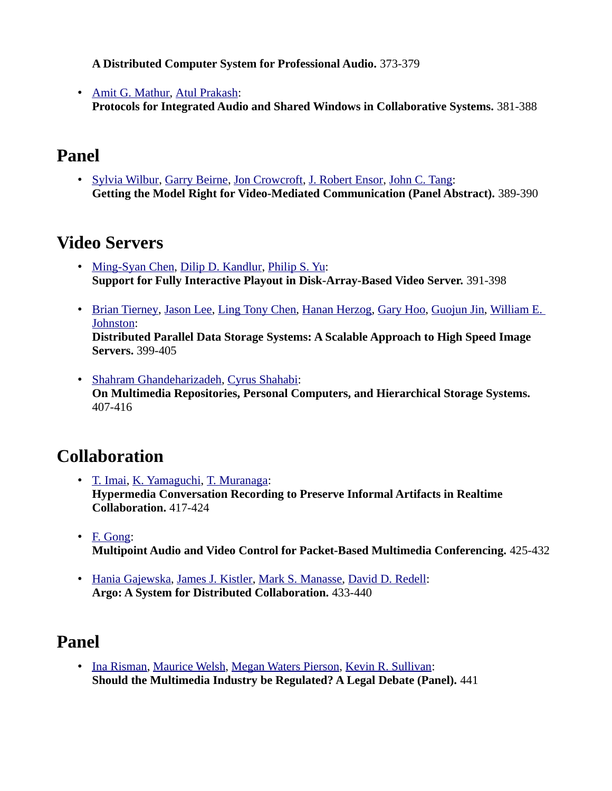**A Distributed Computer System for Professional Audio.** 373-379

• [Amit G. Mathur,](http://www.informatik.uni-trier.de/~ley/db/indices/a-tree/m/Mathur:Amit_G=.html) [Atul Prakash:](http://www.informatik.uni-trier.de/~ley/db/indices/a-tree/p/Prakash:Atul.html) **Protocols for Integrated Audio and Shared Windows in Collaborative Systems.** 381-388

#### **Panel**

• [Sylvia Wilbur,](http://www.informatik.uni-trier.de/~ley/db/indices/a-tree/w/Wilbur:Sylvia.html) [Garry Beirne,](http://www.informatik.uni-trier.de/~ley/db/indices/a-tree/b/Beirne:Garry.html) [Jon Crowcroft,](http://www.informatik.uni-trier.de/~ley/db/indices/a-tree/c/Crowcroft:Jon.html) [J. Robert Ensor,](http://www.informatik.uni-trier.de/~ley/db/indices/a-tree/e/Ensor:J=_Robert.html) [John C. Tang:](http://www.informatik.uni-trier.de/~ley/db/indices/a-tree/t/Tang:John_C=.html) **Getting the Model Right for Video-Mediated Communication (Panel Abstract).** 389-390

#### **Video Servers**

- • [Ming-Syan Chen,](http://www.informatik.uni-trier.de/~ley/db/indices/a-tree/c/Chen:Ming=Syan.html) [Dilip D. Kandlur,](http://www.informatik.uni-trier.de/~ley/db/indices/a-tree/k/Kandlur:Dilip_D=.html) [Philip S. Yu:](http://www.informatik.uni-trier.de/~ley/db/indices/a-tree/y/Yu:Philip_S=.html) **Support for Fully Interactive Playout in Disk-Array-Based Video Server.** 391-398
- • [Brian Tierney,](http://www.informatik.uni-trier.de/~ley/db/indices/a-tree/t/Tierney:Brian.html) [Jason Lee,](http://www.informatik.uni-trier.de/~ley/db/indices/a-tree/l/Lee:Jason.html) [Ling Tony Chen,](http://www.informatik.uni-trier.de/~ley/db/indices/a-tree/c/Chen:Ling_Tony.html) [Hanan Herzog,](http://www.informatik.uni-trier.de/~ley/db/indices/a-tree/h/Herzog:Hanan.html) [Gary Hoo,](http://www.informatik.uni-trier.de/~ley/db/indices/a-tree/h/Hoo:Gary.html) [Guojun Jin,](http://www.informatik.uni-trier.de/~ley/db/indices/a-tree/j/Jin:Guojun.html) [William E.](http://www.informatik.uni-trier.de/~ley/db/indices/a-tree/j/Johnston:William_E=.html)  [Johnston:](http://www.informatik.uni-trier.de/~ley/db/indices/a-tree/j/Johnston:William_E=.html) **Distributed Parallel Data Storage Systems: A Scalable Approach to High Speed Image Servers.** 399-405
- • [Shahram Ghandeharizadeh,](http://www.informatik.uni-trier.de/~ley/db/indices/a-tree/g/Ghandeharizadeh:Shahram.html) [Cyrus Shahabi:](http://www.informatik.uni-trier.de/~ley/db/indices/a-tree/s/Shahabi:Cyrus.html) **On Multimedia Repositories, Personal Computers, and Hierarchical Storage Systems.**  407-416

# **Collaboration**

- • [T. Imai,](http://www.informatik.uni-trier.de/~ley/db/indices/a-tree/i/Imai:T=.html) [K. Yamaguchi,](http://www.informatik.uni-trier.de/~ley/db/indices/a-tree/y/Yamaguchi:K=.html) [T. Muranaga:](http://www.informatik.uni-trier.de/~ley/db/indices/a-tree/m/Muranaga:T=.html) **Hypermedia Conversation Recording to Preserve Informal Artifacts in Realtime Collaboration.** 417-424
- • [F. Gong:](http://www.informatik.uni-trier.de/~ley/db/indices/a-tree/g/Gong:F=.html) **Multipoint Audio and Video Control for Packet-Based Multimedia Conferencing.** 425-432
- • [Hania Gajewska,](http://www.informatik.uni-trier.de/~ley/db/indices/a-tree/g/Gajewska:Hania.html) [James J. Kistler,](http://www.informatik.uni-trier.de/~ley/db/indices/a-tree/k/Kistler:James_J=.html) [Mark S. Manasse,](http://www.informatik.uni-trier.de/~ley/db/indices/a-tree/m/Manasse:Mark_S=.html) [David D. Redell:](http://www.informatik.uni-trier.de/~ley/db/indices/a-tree/r/Redell:David_D=.html) **Argo: A System for Distributed Collaboration.** 433-440

# **Panel**

• [Ina Risman,](http://www.informatik.uni-trier.de/~ley/db/indices/a-tree/r/Risman:Ina.html) [Maurice Welsh,](http://www.informatik.uni-trier.de/~ley/db/indices/a-tree/w/Welsh:Maurice.html) [Megan Waters Pierson,](http://www.informatik.uni-trier.de/~ley/db/indices/a-tree/p/Pierson:Megan_Waters.html) [Kevin R. Sullivan:](http://www.informatik.uni-trier.de/~ley/db/indices/a-tree/s/Sullivan:Kevin_R=.html) **Should the Multimedia Industry be Regulated? A Legal Debate (Panel).** 441